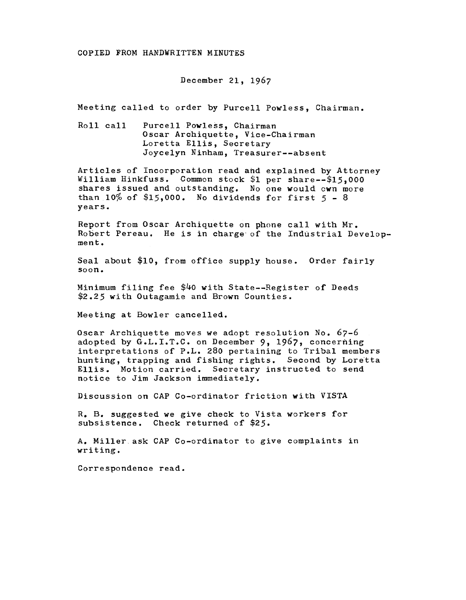## COPIED FROM HANDWRITTEN MINUTES

## December 21, 1967

Meeting called to order by Purcell Powless, Chairman.

Roll call Purcell Powless, Chairman Oscar Archiquette, Vice-Chairman Loretta Ellis, Secretary Joycelyn Ninham, Treasurer--absent

Articles of Incorporation read and explained by Attorney William Hinkfuss. Common stock \$1 per share--\$15,000 shares issued and outstanding. No one would cwn more than 10% of \$15,000. No dividends for first *5* - <sup>8</sup> years.

Report from Oscar Archiquette on phone call with Mr. Robert Pereau. He is in charge· of the Industrial Development.

Seal about \$10, from office supply house. Order fairly soon.

Minimum filing fee \$40 with State--Register of Deeds \$2.25 with Outagamie and Brown Counties.

Meeting at Bowler cancelled.

Oscar Archiquette moves we adopt resolution No. 67-6 adopted by G.L.I.T.C. on December 9, 1967, concerning interpretations of P.L. 280 pertaining to Tribal members hunting, trapping and fishing rights. Second by Loretta Ellis. Motion carried. Secretary instructed to send notice to Jim Jackson immediately.

Discussion on CAP Co-ordinator friction with VISTA

R. B. suggested we give check to Vista workers for subsistence. Check returned of \$25.

A. Miller.ask CAP Co-ordinator to give complaints in writing.

Correspondence read.